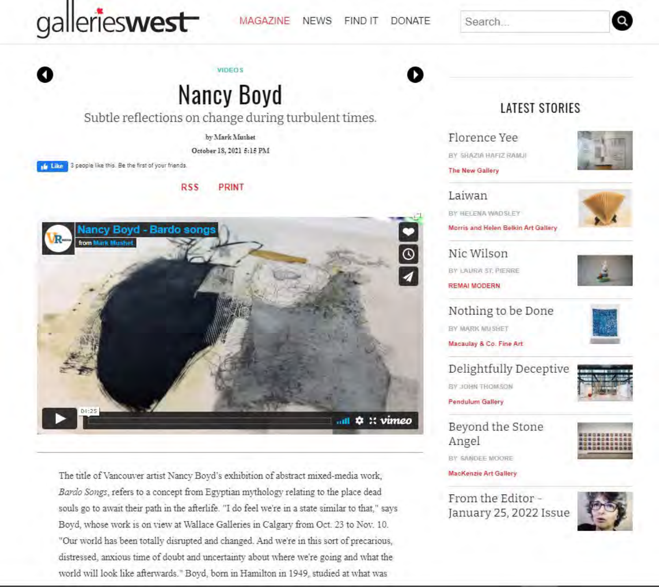

**MAGAZINE NEWS FIND IT DONATE**  Search



# **Nancy Boyd**

Subtle reflections on change during turbulent times.

**VIDEOS** 

by Mark Mushet

October 18, 2021 5:15 PM

3 people like this. Be the first of your friends. **de Like** 

#### **RSS PRINT**



The title of Vancouver artist Nancy Boyd's exhibition of abstract mixed-media work, Bardo Songs, refers to a concept from Egyptian mythology relating to the place dead souls go to await their path in the afterlife. "I do feel we're in a state similar to that," says Boyd, whose work is on view at Wallace Galleries in Calgary from Oct. 23 to Nov. 10. "Our world has been totally disrupted and changed. And we're in this sort of precarious. distressed, anxious time of doubt and uncertainty about where we're going and what the world will look like afterwards." Boyd, born in Hamilton in 1949, studied at what was

## **LATEST STORIES**

Florence Yee

BY SHAZIA HAFIZ RAMJI

The New Gallery



Laiwan BY HELENA WADSLEY Morris and Helen Belkin Art Gallery

Nic Wilson BY LAURA ST PERRE **REMAI MODERN** 



Nothing to be Done BY MARK MUSHET

Macaulay & Co. Fine Art

Delightfully Deceptive BY JOHN THOMSON



**Pendulum Gallery** 

Beyond the Stone Angel



BY SANDEE MOORE

**MacKenzie Art Gallery** 

From the Editor -January 25, 2022 Issue